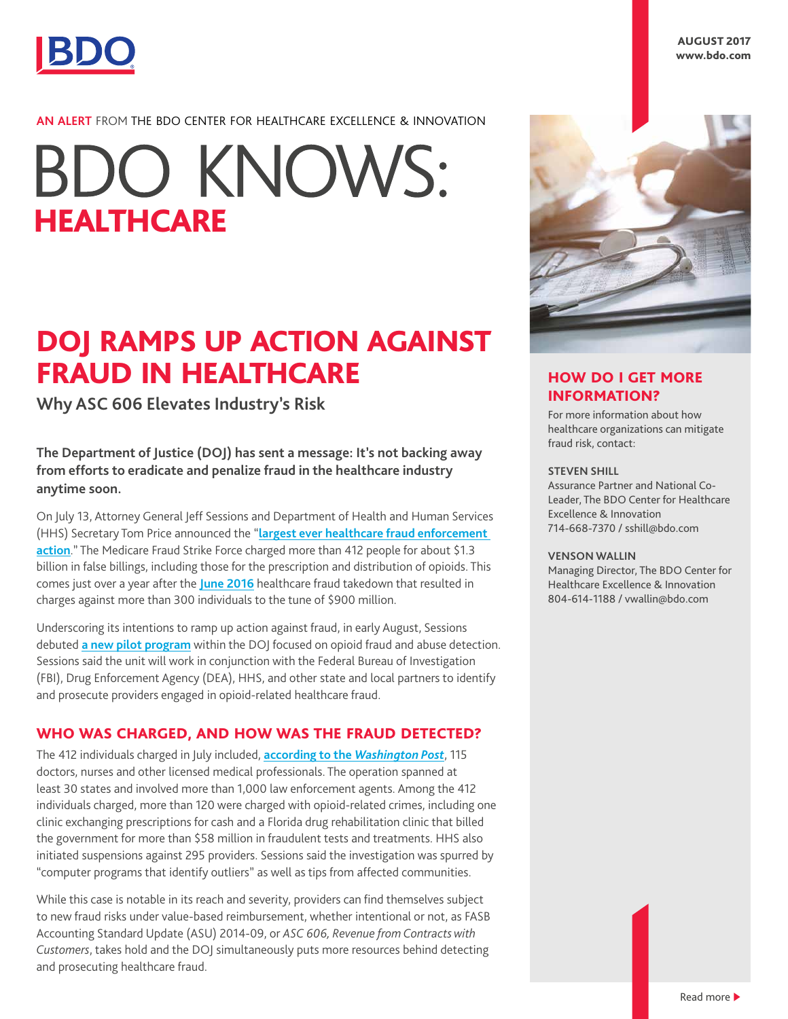

AUGUST 2017 www.bdo.com

# **AN ALERT** FROM THE BDO CENTER FOR HEALTHCARE EXCELLENCE & INNOVATION

# **BDO KNOWS: HEALTHCARE**

# DOJ RAMPS UP ACTION AGAINST FRAUD IN HEALTHCARE

**Why ASC 606 Elevates Industry's Risk**

**The Department of Justice (DOJ) has sent a message: It's not backing away from efforts to eradicate and penalize fraud in the healthcare industry anytime soon.**

On July 13, Attorney General Jeff Sessions and Department of Health and Human Services (HHS) Secretary Tom Price announced the "**[largest ever healthcare fraud enforcement](https://www.justice.gov/opa/pr/national-health-care-fraud-takedown-results-charges-against-over-412-individuals-responsible)  [action](https://www.justice.gov/opa/pr/national-health-care-fraud-takedown-results-charges-against-over-412-individuals-responsible)**." The Medicare Fraud Strike Force charged more than 412 people for about \$1.3 billion in false billings, including those for the prescription and distribution of opioids. This comes just over a year after the **[June 2016](https://www.bdo.com/blogs/healthcare/june-2016/healthcare-fraud-providers-still-face-a-problem)** healthcare fraud takedown that resulted in charges against more than 300 individuals to the tune of \$900 million.

Underscoring its intentions to ramp up action against fraud, in early August, Sessions debuted **[a new pilot program](https://www.justice.gov/opa/pr/attorney-general-sessions-announces-opioid-fraud-and-abuse-detection-unit)** within the DOJ focused on opioid fraud and abuse detection. Sessions said the unit will work in conjunction with the Federal Bureau of Investigation (FBI), Drug Enforcement Agency (DEA), HHS, and other state and local partners to identify and prosecute providers engaged in opioid-related healthcare fraud.

# WHO WAS CHARGED, AND HOW WAS THE FRAUD DETECTED?

The 412 individuals charged in July included, **[according to the](https://www.washingtonpost.com/news/business/wp/2017/07/13/doj-announces-charges-against-400-people-for-1-3-billion-in-health-care-fraud/?utm_term=.7d04f625c8ab)** *Washington Post*, 115 doctors, nurses and other licensed medical professionals. The operation spanned at least 30 states and involved more than 1,000 law enforcement agents. Among the 412 individuals charged, more than 120 were charged with opioid-related crimes, including one clinic exchanging prescriptions for cash and a Florida drug rehabilitation clinic that billed the government for more than \$58 million in fraudulent tests and treatments. HHS also initiated suspensions against 295 providers. Sessions said the investigation was spurred by "computer programs that identify outliers" as well as tips from affected communities.

While this case is notable in its reach and severity, providers can find themselves subject to new fraud risks under value-based reimbursement, whether intentional or not, as FASB Accounting Standard Update (ASU) 2014-09, or *ASC 606, Revenue from Contracts with Customers*, takes hold and the DOJ simultaneously puts more resources behind detecting and prosecuting healthcare fraud.



# HOW DO I GET MORE INFORMATION?

For more information about how healthcare organizations can mitigate fraud risk, contact:

#### **STEVEN SHILL**

Assurance Partner and National Co-Leader, The BDO Center for Healthcare Excellence & Innovation 714-668-7370 / sshill@bdo.com

#### **VENSON WALLIN**

Managing Director, The BDO Center for Healthcare Excellence & Innovation 804-614-1188 / vwallin@bdo.com